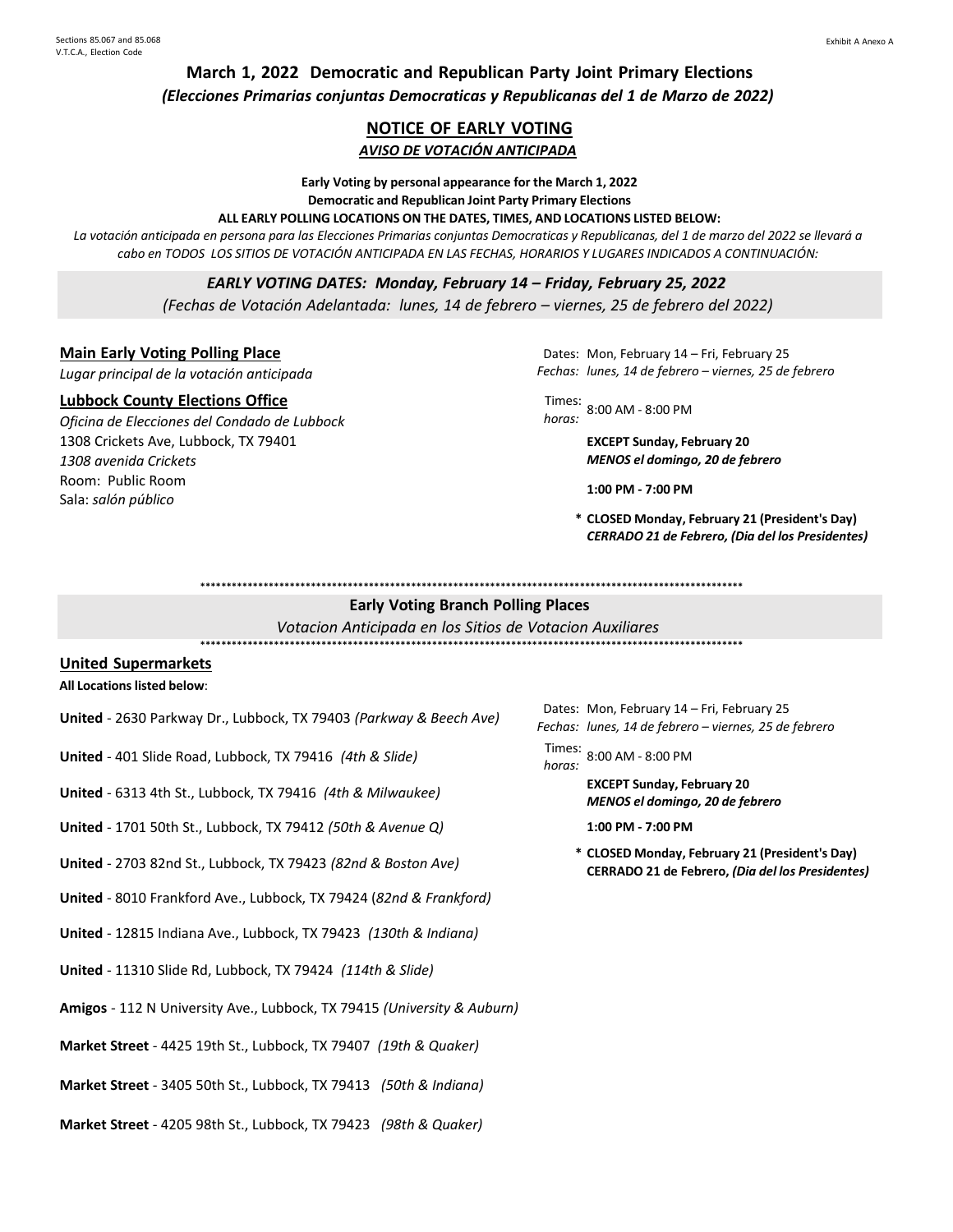**March 1, 2022 Democratic and Republican Party Joint Primary Elections** *(Elecciones Primarias conjuntas Democraticas y Republicanas del 1 de Marzo de 2022)*

# **NOTICE OF EARLY VOTING**

# *AVISO DE VOTACIÓN ANTICIPADA*

**Early Voting by personal appearance for the March 1, 2022 Democratic and Republican Joint Party Primary Elections ALL EARLY POLLING LOCATIONS ON THE DATES, TIMES, AND LOCATIONS LISTED BELOW:**

La votación anticipada en persona para las Elecciones Primarias conjuntas Democraticas y Republicanas, del 1 de marzo del 2022 se llevará a *cabo en TODOS LOS SITIOS DE VOTACIÓN ANTICIPADA EN LAS FECHAS, HORARIOS Y LUGARES INDICADOS A CONTINUACIÓN:*

*EARLY VOTING DATES: Monday, February 14 – Friday, February 25, 2022*

*(Fechas de Votación Adelantada: lunes, 14 de febrero – viernes, 25 de febrero del 2022)*

### **Main Early Voting Polling Place**

*Lugar principal de la votación anticipada*

#### **Lubbock County Elections Office**

*Oficina de Elecciones del Condado de Lubbock* 1308 Crickets Ave, Lubbock, TX 79401 *1308 avenida Crickets* Room: Public Room Sala: *salón público*

Dates: Mon, February 14 – Fri, February 25 *Fechas: lunes, 14 de febrero – viernes, 25 de febrero*

Times: *horas:* 8:00 AM - 8:00 PM

**EXCEPT Sunday, February 20** *MENOS el domingo, 20 de febrero*

**1:00 PM - 7:00 PM**

**\* CLOSED Monday, February 21 (President's Day)** *CERRADO 21 de Febrero, (Dia del los Presidentes)*

**\*\*\*\*\*\*\*\*\*\*\*\*\*\*\*\*\*\*\*\*\*\*\*\*\*\*\*\*\*\*\*\*\*\*\*\*\*\*\*\*\*\*\*\*\*\*\*\*\*\*\*\*\*\*\*\*\*\*\*\*\*\*\*\*\*\*\*\*\*\*\*\*\*\*\*\*\*\*\*\*\*\*\*\*\*\*\*\*\*\*\*\*\*\*\*\*\*\*\*\*\*\*\***

# **Early Voting Branch Polling Places**

*Votacion Anticipada en los Sitios de Votacion Auxiliares* **\*\*\*\*\*\*\*\*\*\*\*\*\*\*\*\*\*\*\*\*\*\*\*\*\*\*\*\*\*\*\*\*\*\*\*\*\*\*\*\*\*\*\*\*\*\*\*\*\*\*\*\*\*\*\*\*\*\*\*\*\*\*\*\*\*\*\*\*\*\*\*\*\*\*\*\*\*\*\*\*\*\*\*\*\*\*\*\*\*\*\*\*\*\*\*\*\*\*\*\*\*\*\***

#### **United Supermarkets**

#### **All Locations listed below**:

- **United** 2630 Parkway Dr., Lubbock, TX 79403 *(Parkway & Beech Ave)*
- **United** 401 Slide Road, Lubbock, TX 79416 (4th & *Slide*)
- **United** <sup>6313</sup> 4th St., Lubbock, TX <sup>79416</sup>*(4th & Milwaukee)* **EXCEPT Sunday, February <sup>20</sup>**
- **United** 1701 50th St., Lubbock, TX 79412 *(50th & Avenue Q)* **1:00 PM - 7:00 PM**
- **United** 2703 82nd St., Lubbock, TX 79423 *(82nd & Boston Ave)*
- **United** 8010 Frankford Ave., Lubbock, TX 79424 (*82nd & Frankford)*
- **United** 12815 Indiana Ave., Lubbock, TX 79423 *(130th & Indiana)*
- **United** 11310 Slide Rd, Lubbock, TX 79424 *(114th & Slide)*
- **Amigos** 112 N University Ave., Lubbock, TX 79415 *(University & Auburn)*
- **Market Street** 4425 19th St., Lubbock, TX 79407 *(19th & Quaker)*
- **Market Street** 3405 50th St., Lubbock, TX 79413 *(50th & Indiana)*
- **Market Street** 4205 98th St., Lubbock, TX 79423 *(98th & Quaker)*

*Fechas: lunes, 14 de febrero – viernes, 25 de febrero* Dates: Mon, February 14 - Fri, February 25

*horas:* 8:00 AM - 8:00 PM

*MENOS el domingo, 20 de febrero*

**\* CLOSED Monday, February 21 (President's Day) CERRADO 21 de Febrero,** *(Dia del los Presidentes)*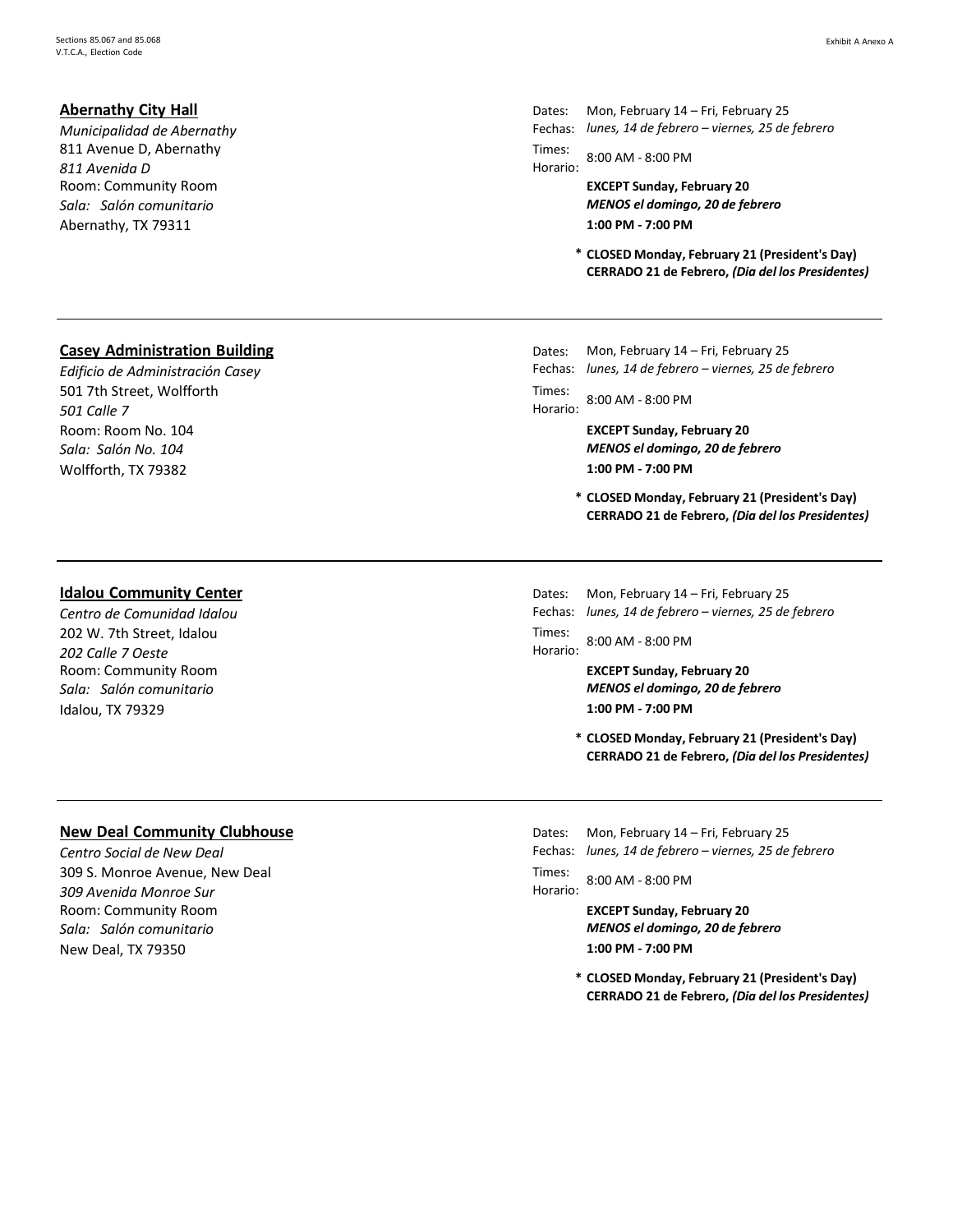# **Abernathy City Hall**

*Municipalidad de Abernathy* 811 Avenue D, Abernathy *811 Avenida D* Room: Community Room *Sala: Salón comunitario* Abernathy, TX 79311 **1:00 PM - 7:00 PM**

#### Exhibit A Anexo A

Dates: Fechas: *lunes, 14 de febrero – viernes, 25 de febrero* Mon, February 14 – Fri, February 25

Times: Horario: 8:00 AM - 8:00 PM

> **EXCEPT Sunday, February 20** *MENOS el domingo, 20 de febrero*

**\* CLOSED Monday, February 21 (President's Day) CERRADO 21 de Febrero,** *(Dia del los Presidentes)*

# **Casey Administration Building**

*Edificio de Administración Casey* 501 7th Street, Wolfforth *501 Calle 7* Room: Room No. 104 *Sala: Salón No. 104* Wolfforth, TX 79382 **1:00 PM - 7:00 PM**

#### **Idalou Community Center**

*Centro de Comunidad Idalou* 202 W. 7th Street, Idalou *202 Calle 7 Oeste* Room: Community Room *Sala: Salón comunitario* Idalou, TX 79329 **1:00 PM - 7:00 PM**

#### Dates: Fechas: Mon, February 14 – Fri, February 25 *lunes, 14 de febrero – viernes, 25 de febrero*

Times: Horario: 8:00 AM - 8:00 PM

> **EXCEPT Sunday, February 20** *MENOS el domingo, 20 de febrero*

- **\* CLOSED Monday, February 21 (President's Day) CERRADO 21 de Febrero,** *(Dia del los Presidentes)*
- Dates: Mon, February 14 – Fri, February 25
- Fechas: *lunes, 14 de febrero – viernes, 25 de febrero*

Times: Horario: 8:00 AM - 8:00 PM

> **EXCEPT Sunday, February 20** *MENOS el domingo, 20 de febrero*

**\* CLOSED Monday, February 21 (President's Day) CERRADO 21 de Febrero,** *(Dia del los Presidentes)*

# **New Deal Community Clubhouse**

*Centro Social de New Deal* 309 S. Monroe Avenue, New Deal *309 Avenida Monroe Sur* Room: Community Room *Sala: Salón comunitario* New Deal, TX 79350 **1:00 PM - 7:00 PM**

Dates: Fechas: *lunes, 14 de febrero – viernes, 25 de febrero* Mon, February 14 – Fri, February 25

Times: Horario: 8:00 AM - 8:00 PM

> **EXCEPT Sunday, February 20** *MENOS el domingo, 20 de febrero*

**\* CLOSED Monday, February 21 (President's Day) CERRADO 21 de Febrero,** *(Dia del los Presidentes)*